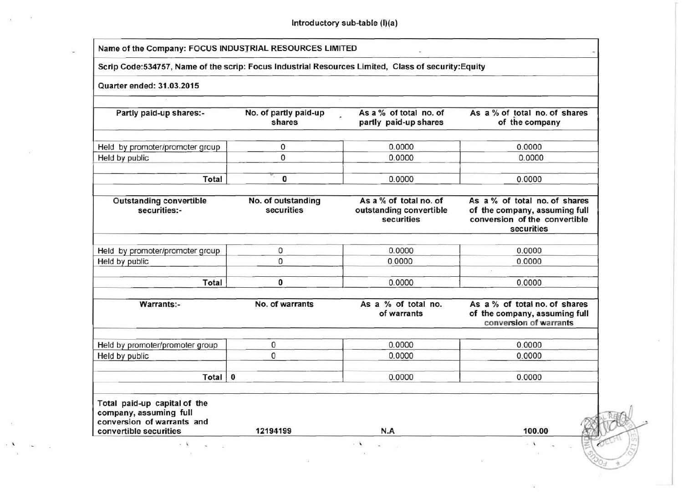Introductory sub-table (I)(a)

| Scrip Code:534757, Name of the scrip: Focus Industrial Resources Limited, Class of security:Equity                                  |                                  |                                                                 |                                                                                                               |  |  |  |  |  |  |
|-------------------------------------------------------------------------------------------------------------------------------------|----------------------------------|-----------------------------------------------------------------|---------------------------------------------------------------------------------------------------------------|--|--|--|--|--|--|
| Quarter ended: 31.03.2015                                                                                                           |                                  |                                                                 |                                                                                                               |  |  |  |  |  |  |
| Partly paid-up shares:-                                                                                                             | No. of partly paid-up<br>shares  | As a % of total no. of<br>partly paid-up shares                 | As a % of total no. of shares<br>of the company                                                               |  |  |  |  |  |  |
| Held by promoter/promoter group                                                                                                     | 0                                | 0.0000                                                          | 0.0000                                                                                                        |  |  |  |  |  |  |
| Held by public                                                                                                                      | 0                                | 0.0000                                                          | 0.0000                                                                                                        |  |  |  |  |  |  |
| Total                                                                                                                               | $\bf o$<br>Cm.                   | 0.0000                                                          | 0.0000                                                                                                        |  |  |  |  |  |  |
| <b>Outstanding convertible</b><br>securities:-                                                                                      | No. of outstanding<br>securities | As a % of total no. of<br>outstanding convertible<br>securities | As a % of total no. of shares<br>of the company, assuming full<br>conversion of the convertible<br>securities |  |  |  |  |  |  |
| Held by promoter/promoter group                                                                                                     | 0                                | 0.0000                                                          | 0.0000                                                                                                        |  |  |  |  |  |  |
| Held by public                                                                                                                      | 0                                | 0.0000                                                          | 0.0000                                                                                                        |  |  |  |  |  |  |
| Total                                                                                                                               | 0                                | 0.0000                                                          | 0.0000                                                                                                        |  |  |  |  |  |  |
| <b>Warrants:-</b>                                                                                                                   | No. of warrants                  | As a % of total no.<br>of warrants                              | As a % of total no. of shares<br>of the company, assuming full<br>conversion of warrants                      |  |  |  |  |  |  |
| Held by promoter/promoter group                                                                                                     | 0                                | 0.0000                                                          | 0.0000                                                                                                        |  |  |  |  |  |  |
| Held by public                                                                                                                      | 0                                | 0.0000                                                          | 0.0000                                                                                                        |  |  |  |  |  |  |
| Total                                                                                                                               | $\pmb{0}$                        | 0.0000                                                          | 0.0000                                                                                                        |  |  |  |  |  |  |
| Total paid-up capital of the<br>company, assuming full<br>conversion of warrants and<br>convertible securities<br>$\cdot$ $\lambda$ | 12194199                         | N.A                                                             | 100.00                                                                                                        |  |  |  |  |  |  |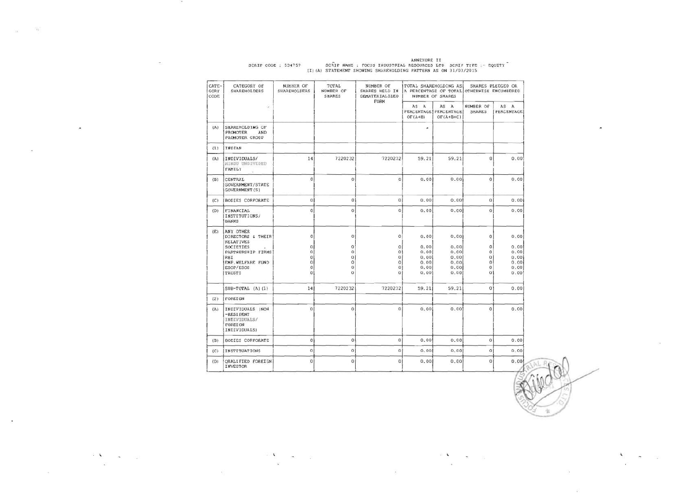| CATE-<br><b>GORY</b><br>CODE | CATEGORY OF<br>SHAREHOLDERS                                              | NUMBER OF<br>SHAREHOLDERS | TOTAL<br>NUMBER OF<br><b>SHARES</b> | NUMBER OF<br>SHARES HELD IN<br><b>DEMATERIALIZED</b><br>FORM |                   | TOTAL SHAREHOLDING AS<br>NUMBER OF SHARES      | SHARES PLEDGED OR<br>A PERCENTAGE OF TOTAL OTHERWISE ENCUMBERED |                    |  |
|------------------------------|--------------------------------------------------------------------------|---------------------------|-------------------------------------|--------------------------------------------------------------|-------------------|------------------------------------------------|-----------------------------------------------------------------|--------------------|--|
|                              | o.                                                                       |                           |                                     |                                                              | AS A<br>$OF(A+B)$ | AS A<br>PERCENTAGE   PERCENTAGE<br>$OF(A+B+C)$ | NUMBER OF<br><b>SHARES</b>                                      | AS A<br>PERCENTAGE |  |
| (A)                          | SHAREHOLDING OF<br>PROMOTER<br>AND<br>PROMOTER GROUP                     |                           |                                     |                                                              | ۰                 |                                                |                                                                 |                    |  |
| (1)                          | INDIAN                                                                   |                           |                                     |                                                              |                   |                                                |                                                                 |                    |  |
| (A)                          | INDIVIDUALS/<br>HINDU UNDIVIDED<br>FAMILY                                | 14                        | 7220232                             | 7220232                                                      | 59.21             | 59.21                                          | $\mathbf{0}$                                                    | 0.00               |  |
| (B)                          | CENTRAL<br><b>GOVERNMENT/STATE</b><br>GOVERNMENT (S)                     | $\theta$                  | $\alpha$                            | $\overline{0}$                                               | 0.00              | 0.00                                           | $\ddot{\mathbf{0}}$                                             | 0.00               |  |
| (C)                          | BODIES CORPORATE                                                         | $\Omega$                  | $\bf 0$                             | $\Omega$                                                     | 0.00              | 0.00                                           | $\Omega$                                                        | 0.00               |  |
| (D)                          | FINANCIAL<br>INSTITUTIONS/<br><b>BANKS</b>                               | 0                         | $\theta$                            | $\overline{0}$                                               | 0.00              | 0.00                                           | $\theta$                                                        | 0.00               |  |
| (E)                          | ANY OTHER<br>DIRECTORS & THEIR<br><b>RELATIVES</b>                       | $\circ$                   | $\sigma$                            | $\circ$                                                      | 0.00              | 0.00                                           | 0                                                               | 0.00               |  |
|                              | SOCIETIES<br>PARTNERSHIP FIRMS                                           | $\circ$<br>0              | 0<br>$\Omega$                       | ٥<br>Ö                                                       | 0.00<br>0.00      | 0.00<br>0.00                                   | o<br>$\ddot{\rm{o}}$                                            | 0.00<br>0.00       |  |
|                              | RBI                                                                      | 0                         | 0                                   | $\overline{0}$                                               | 0.00              | 0.00                                           | $\Omega$                                                        | 0.00               |  |
|                              | EMP. WELFARE FUND                                                        | $\circ$                   | 0                                   | $\circ$                                                      | 0.00              | 0.00                                           | 0                                                               | 0.00               |  |
|                              | ESOP/ESOS                                                                | 0                         | Ü                                   | o                                                            | 0.00              | 0.00                                           | 0                                                               | 0.00               |  |
|                              | <b>TRUSTS</b>                                                            | o                         | ö                                   | 0                                                            | 0.00              | 0.00                                           | $\circ$                                                         | 0.00               |  |
|                              | $SUB-TOTAL (A) (1)$                                                      | 14                        | 7220232                             | 7220232                                                      | 59.21             | 59.21                                          | 0                                                               | 0.00               |  |
| (2)                          | FOREIGN                                                                  |                           |                                     |                                                              |                   |                                                |                                                                 |                    |  |
| (A)                          | INDIVIDUALS (NON<br>-RESIDENT<br>INDIVIDUALS/<br>FOREIGN<br>INDIVIDUALS) | $\mathbf{0}$              | $\ddot{\mathbf{0}}$                 | $\Omega$                                                     | 0.00              | 0.00                                           | $\theta$                                                        | 0.00               |  |
| (B)                          | BODIES CORPORATE                                                         | 0                         | 0                                   | $\Omega$                                                     | 0.00              | 0.00                                           | $\Omega$                                                        | 0.00               |  |
| (C)                          | <b>INSTITUATIONS</b>                                                     | $\circ$                   | ö                                   | $\mathbf{0}$                                                 | 0.00              | 0.00                                           | $\circ$                                                         | 0.00               |  |
| (D)                          | QUALIFIED FOREIGN<br>INVESTOR                                            | $\bf{0}$                  | $\ddot{\rm{o}}$                     | $\mathbf{0}$                                                 | 0.00              | 0.00                                           | $\overline{0}$                                                  | 0.00               |  |

 $\label{eq:2.1} \frac{1}{\lambda} \sum_{\mathbf{k}} \frac{1}{\mathbf{k}} \mathbf{e}^{-\mathbf{k} \cdot \mathbf{r}} \mathbf{e}^{-\mathbf{k} \cdot \mathbf{r}}$ 

 $\langle \Psi \rangle$ 

 $\ddot{\phantom{1}}$ 

 $\sim 10^7$ 

 $\sim$ 

 $\begin{array}{ccccc}\n\ddots & \ddots & \ddots & \ddots\n\end{array}$ 

 $\sim$ 

ANNEXURE II<br>SCRIP CODE : 534757 SCRIP NAME : FOCUS INDUSTRIAL RESOURCES LTD SCRIP TYPE :- EQUITY<br>(I)(A) STATEMENT SHOWING SHAREHOLDING PATTERN AS ON 31/03/2015

 $\frac{1}{2}$ 

 $\gamma_f$ 

 $\geq 1$  .

 $\sim$ 

 $\sim$ 

 $\hat{\phantom{a}}$ 

 $\begin{array}{ccccccccc} \cdot & \bullet & & \bullet & & \circ \\ & \cdot & \bullet & & \circ & & \circ \end{array}$ 

 $-100$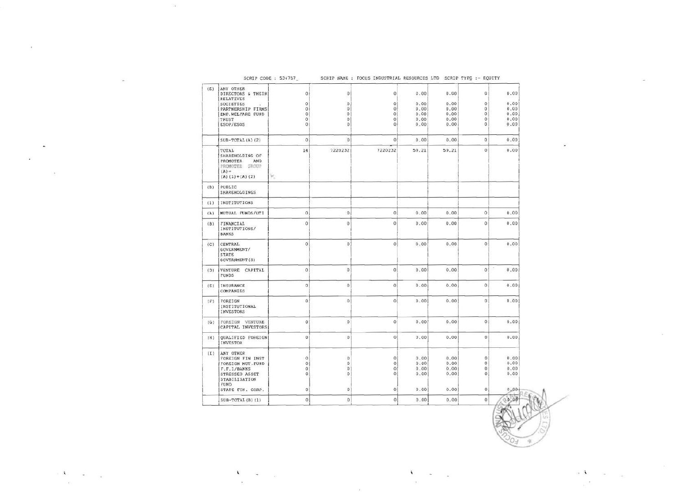| ANY OTHER<br>0<br>0.00<br>0.00<br>o<br>DIRECTORS & THEIR<br>$\circ$<br>$\circ$<br>RELATIVES<br>0.00<br>о<br>0<br>0<br>0.00<br>$\circ$<br>SOCIETIES<br>$\circ$<br>$\mathbf{0}$<br>$\mathbf{0}$<br>0.00<br>0.00<br>0<br>PARTNERSHIP FIRMS<br>0<br>$\alpha$<br>0.00<br>0.00<br>$\circ$<br>EMP. WELFARE FUND<br>0<br>O<br>$\circ$<br>0.00<br>0.00<br>$\circ$<br>TRUST<br>0<br>$\circ$<br>o<br>0.00<br>0<br>ESOP/ESOS<br>0<br>0.00<br>$\mathbf{0}$<br>$\circ$<br>$\overline{0}$<br>O<br>0.00<br>0.00<br>$SUB-TOTAL(A) (2)$<br>o<br>7220232<br>59.21<br>59.21<br>14<br>7220232<br>TOTAL<br>SHAREHOLDING OF<br><b>PROMOTER</b><br>AND<br>PROMOTER UROUP<br>$(A)$ =<br>×.<br>$(A) (1) + (A) (2)$<br>PUBLIC<br>SHAREHOLDINGS<br>INSTITUTIONS<br>$\mathbf{0}$<br>$\mathbf{0}$<br>0<br>$\circ$<br>0.00<br>0.00<br>MUTUAL FUNDS/UTI<br>0<br>$\overline{0}$<br>$\alpha$<br>0.00<br>0.00<br>$\bf{0}$<br><b>FINANCIAL</b><br>INSTITUTIONS/<br><b>BANKS</b><br>Ö.<br>O(<br>$\mathbf{0}$<br>o<br>0.00<br>0.00<br>CENTRAL<br>GOVERNMENT/<br>STATE<br><b>GOVERNMENT (S)</b><br>$\mathbf{0}$<br>$\circ$<br>0.00<br>0.00<br>$\Omega$<br>VENTURE CAPITAL<br>0<br>FUNDS<br>$\circ$<br>$\circ$<br>$\circ$<br>$\circ$<br>0.00<br>0.00<br>INSURANCE<br>COMPANIES<br>Ü.<br>0<br>$\circ$<br>0<br>0.00<br>0.00<br>FOREIGN<br>INSTITUTIONAL<br>INVESTORS<br>$\circ$<br>0<br>0.00<br>0.00<br>$\circ$<br>$\mathbf 0$<br>FOREIGN VENTURE<br>CAPITAL INVESTORS<br>$\circ$<br>$\mathbf{0}$<br>$\mathbf 0$<br>$\circ$<br>0.00<br>0.00<br>QUALIFIED FOREIGN<br>INVESTOR<br>ANY OTHER<br>ö<br>0.00<br>0.00<br>0<br>$\circ$<br>$\mathbf 0$<br>FOREIGN FIN INST<br>$\circ$<br>$\circ$<br>o<br>0<br>0.00<br>0.00<br>FOREIGN MUT. FUND<br>$\mathbb O$<br>0.00<br>0.00<br>0<br>F.F.I/BANKS<br>0<br>$\circ$<br>$\mathbf{0}$<br>$\circ$<br>0<br>0.00<br>0.00<br>Ŭ.<br>STRESSED ASSET<br>STABILISATION<br>FUND<br>0<br>0.00<br>0.00<br>o<br>STATE FIN. CORP.<br>$\theta$<br>0<br>$\mathbf{0}$<br>$\alpha$<br>0.00<br>$\alpha$<br>$\circ$<br>0.00<br>$SUB-TOTAL(B) (1)$ |             | SCRIP CODE : 534757_ | SCRIP NAME : FOCUS INDUSTRIAL RESOURCES LTD SCRIP TYPE :- EQUITY |  |                              |
|--------------------------------------------------------------------------------------------------------------------------------------------------------------------------------------------------------------------------------------------------------------------------------------------------------------------------------------------------------------------------------------------------------------------------------------------------------------------------------------------------------------------------------------------------------------------------------------------------------------------------------------------------------------------------------------------------------------------------------------------------------------------------------------------------------------------------------------------------------------------------------------------------------------------------------------------------------------------------------------------------------------------------------------------------------------------------------------------------------------------------------------------------------------------------------------------------------------------------------------------------------------------------------------------------------------------------------------------------------------------------------------------------------------------------------------------------------------------------------------------------------------------------------------------------------------------------------------------------------------------------------------------------------------------------------------------------------------------------------------------------------------------------------------------------------------------------------------------------------------------------------------------------------------------------------------------------------------------------------------------------------------------------|-------------|----------------------|------------------------------------------------------------------|--|------------------------------|
|                                                                                                                                                                                                                                                                                                                                                                                                                                                                                                                                                                                                                                                                                                                                                                                                                                                                                                                                                                                                                                                                                                                                                                                                                                                                                                                                                                                                                                                                                                                                                                                                                                                                                                                                                                                                                                                                                                                                                                                                                          | (E)         |                      |                                                                  |  | 0.00                         |
|                                                                                                                                                                                                                                                                                                                                                                                                                                                                                                                                                                                                                                                                                                                                                                                                                                                                                                                                                                                                                                                                                                                                                                                                                                                                                                                                                                                                                                                                                                                                                                                                                                                                                                                                                                                                                                                                                                                                                                                                                          |             |                      |                                                                  |  | 0.00                         |
|                                                                                                                                                                                                                                                                                                                                                                                                                                                                                                                                                                                                                                                                                                                                                                                                                                                                                                                                                                                                                                                                                                                                                                                                                                                                                                                                                                                                                                                                                                                                                                                                                                                                                                                                                                                                                                                                                                                                                                                                                          |             |                      |                                                                  |  | 0.00                         |
|                                                                                                                                                                                                                                                                                                                                                                                                                                                                                                                                                                                                                                                                                                                                                                                                                                                                                                                                                                                                                                                                                                                                                                                                                                                                                                                                                                                                                                                                                                                                                                                                                                                                                                                                                                                                                                                                                                                                                                                                                          |             |                      |                                                                  |  | 0.00                         |
|                                                                                                                                                                                                                                                                                                                                                                                                                                                                                                                                                                                                                                                                                                                                                                                                                                                                                                                                                                                                                                                                                                                                                                                                                                                                                                                                                                                                                                                                                                                                                                                                                                                                                                                                                                                                                                                                                                                                                                                                                          |             |                      |                                                                  |  | 0.00<br>0.00                 |
|                                                                                                                                                                                                                                                                                                                                                                                                                                                                                                                                                                                                                                                                                                                                                                                                                                                                                                                                                                                                                                                                                                                                                                                                                                                                                                                                                                                                                                                                                                                                                                                                                                                                                                                                                                                                                                                                                                                                                                                                                          |             |                      |                                                                  |  |                              |
|                                                                                                                                                                                                                                                                                                                                                                                                                                                                                                                                                                                                                                                                                                                                                                                                                                                                                                                                                                                                                                                                                                                                                                                                                                                                                                                                                                                                                                                                                                                                                                                                                                                                                                                                                                                                                                                                                                                                                                                                                          |             |                      |                                                                  |  | 0.00                         |
|                                                                                                                                                                                                                                                                                                                                                                                                                                                                                                                                                                                                                                                                                                                                                                                                                                                                                                                                                                                                                                                                                                                                                                                                                                                                                                                                                                                                                                                                                                                                                                                                                                                                                                                                                                                                                                                                                                                                                                                                                          |             |                      |                                                                  |  | 0.00                         |
|                                                                                                                                                                                                                                                                                                                                                                                                                                                                                                                                                                                                                                                                                                                                                                                                                                                                                                                                                                                                                                                                                                                                                                                                                                                                                                                                                                                                                                                                                                                                                                                                                                                                                                                                                                                                                                                                                                                                                                                                                          | (B)         |                      |                                                                  |  |                              |
|                                                                                                                                                                                                                                                                                                                                                                                                                                                                                                                                                                                                                                                                                                                                                                                                                                                                                                                                                                                                                                                                                                                                                                                                                                                                                                                                                                                                                                                                                                                                                                                                                                                                                                                                                                                                                                                                                                                                                                                                                          | (1)         |                      |                                                                  |  |                              |
|                                                                                                                                                                                                                                                                                                                                                                                                                                                                                                                                                                                                                                                                                                                                                                                                                                                                                                                                                                                                                                                                                                                                                                                                                                                                                                                                                                                                                                                                                                                                                                                                                                                                                                                                                                                                                                                                                                                                                                                                                          | (A)         |                      |                                                                  |  | 0.00                         |
|                                                                                                                                                                                                                                                                                                                                                                                                                                                                                                                                                                                                                                                                                                                                                                                                                                                                                                                                                                                                                                                                                                                                                                                                                                                                                                                                                                                                                                                                                                                                                                                                                                                                                                                                                                                                                                                                                                                                                                                                                          | (B)         |                      |                                                                  |  | 0.00                         |
|                                                                                                                                                                                                                                                                                                                                                                                                                                                                                                                                                                                                                                                                                                                                                                                                                                                                                                                                                                                                                                                                                                                                                                                                                                                                                                                                                                                                                                                                                                                                                                                                                                                                                                                                                                                                                                                                                                                                                                                                                          | (C)         |                      |                                                                  |  | 0.00                         |
|                                                                                                                                                                                                                                                                                                                                                                                                                                                                                                                                                                                                                                                                                                                                                                                                                                                                                                                                                                                                                                                                                                                                                                                                                                                                                                                                                                                                                                                                                                                                                                                                                                                                                                                                                                                                                                                                                                                                                                                                                          | (D)         |                      |                                                                  |  | 0.00                         |
|                                                                                                                                                                                                                                                                                                                                                                                                                                                                                                                                                                                                                                                                                                                                                                                                                                                                                                                                                                                                                                                                                                                                                                                                                                                                                                                                                                                                                                                                                                                                                                                                                                                                                                                                                                                                                                                                                                                                                                                                                          | (E)         |                      |                                                                  |  | 0.00                         |
|                                                                                                                                                                                                                                                                                                                                                                                                                                                                                                                                                                                                                                                                                                                                                                                                                                                                                                                                                                                                                                                                                                                                                                                                                                                                                                                                                                                                                                                                                                                                                                                                                                                                                                                                                                                                                                                                                                                                                                                                                          | (F)         |                      |                                                                  |  | 0.00                         |
|                                                                                                                                                                                                                                                                                                                                                                                                                                                                                                                                                                                                                                                                                                                                                                                                                                                                                                                                                                                                                                                                                                                                                                                                                                                                                                                                                                                                                                                                                                                                                                                                                                                                                                                                                                                                                                                                                                                                                                                                                          | $ G\rangle$ |                      |                                                                  |  | 0.00                         |
|                                                                                                                                                                                                                                                                                                                                                                                                                                                                                                                                                                                                                                                                                                                                                                                                                                                                                                                                                                                                                                                                                                                                                                                                                                                                                                                                                                                                                                                                                                                                                                                                                                                                                                                                                                                                                                                                                                                                                                                                                          | (H)         |                      |                                                                  |  | 0.00                         |
|                                                                                                                                                                                                                                                                                                                                                                                                                                                                                                                                                                                                                                                                                                                                                                                                                                                                                                                                                                                                                                                                                                                                                                                                                                                                                                                                                                                                                                                                                                                                                                                                                                                                                                                                                                                                                                                                                                                                                                                                                          | (T)         |                      |                                                                  |  | 0.00<br>0.00<br>0.00<br>0.00 |
|                                                                                                                                                                                                                                                                                                                                                                                                                                                                                                                                                                                                                                                                                                                                                                                                                                                                                                                                                                                                                                                                                                                                                                                                                                                                                                                                                                                                                                                                                                                                                                                                                                                                                                                                                                                                                                                                                                                                                                                                                          |             |                      |                                                                  |  | 0.00                         |
|                                                                                                                                                                                                                                                                                                                                                                                                                                                                                                                                                                                                                                                                                                                                                                                                                                                                                                                                                                                                                                                                                                                                                                                                                                                                                                                                                                                                                                                                                                                                                                                                                                                                                                                                                                                                                                                                                                                                                                                                                          |             |                      |                                                                  |  | 0.00                         |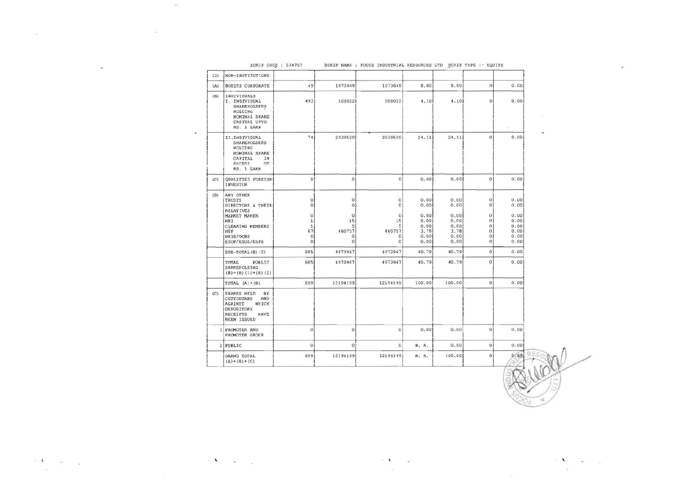| (2)            | NON-INSTITUTIONS                                                                                                                 |                                                       |                                            |                                                |                              |                              |                                                     |                              |  |
|----------------|----------------------------------------------------------------------------------------------------------------------------------|-------------------------------------------------------|--------------------------------------------|------------------------------------------------|------------------------------|------------------------------|-----------------------------------------------------|------------------------------|--|
| (A)            | <b>BODIES CORPORATE</b>                                                                                                          | 49                                                    | 1073648                                    | 1073648                                        | 8.80                         | 8.80                         | $\circ$                                             | 0.00                         |  |
| (B)            | INDIVIDUALS<br>I. INDIVIOUAL<br>SHAREHOLDERS<br>HOLDING<br>NOMINAL SHARE<br>CAPITAL UPTO<br>RS. 1 LAKH                           | 493                                                   | 500022                                     | 500022                                         | 4.10                         | 4.10                         | $\mathbf{0}$                                        | 0.00                         |  |
|                | II.INDIVIDUAL<br>SHAREHOLDERS<br>HOLDING<br>NOMINAL SHARE<br>CAPITAL<br>IN<br><b>EXCESS</b><br>OF<br>RS. 1 LAKH                  | 74                                                    | 2939520                                    | 2939520                                        | 24.11                        | 24.11                        | $\mathbf{0}$                                        | 0.00                         |  |
| (C)            | QUALIFIED FOREIGN<br>INVESTOR                                                                                                    | 0 <sup>1</sup>                                        | $\Omega$                                   | $\Omega$                                       | 0.00                         | 0.00                         | $\Omega$                                            | 0.00                         |  |
| (D)            | ANY OTHER<br><b>TRUSTS</b><br>DIRECTORS & THEIR<br><b>RELATIVES</b><br>MARKET MAKER<br>NRI                                       | $\mathbf{0}$<br>01<br>$\bf{0}$<br>$\mathbf{1}$        | $\circ$<br>0 <sup>1</sup><br>O<br>15       | $\circ$<br>$\mathbf 0$<br>$\overline{0}$<br>15 | 0.00<br>0.00<br>0.00<br>0.00 | 0.00<br>0.00<br>0.00<br>0.00 | $\mathbf 0$<br>$\boldsymbol{0}$<br>0<br>$\mathbf 0$ | 0.00<br>0.00<br>0.00<br>0.00 |  |
|                | CLEARING MEMBERS<br>HUF<br>NR1S/OCBS<br>ESOP/ESOS/ESPS                                                                           | $\mathbf{1}$<br>67<br>$\ddot{\mathbf{0}}$<br>$\bf{0}$ | $\mathsf{s}$<br>460757<br>0<br>$\mathbf 0$ | $\mathsf{S}$<br>460757<br>$\circ$<br>$\circ$   | 0.00<br>3.78<br>0.00<br>0.00 | 0.00<br>3.78<br>0.00<br>0.00 | $\Omega$<br>$\mathbf 0$<br>$\circ$<br>$\mathbf{0}$  | 0.00<br>0.00<br>0.00<br>0.00 |  |
|                | $SUB-TOTAL(B) (2)$                                                                                                               | 685                                                   | 4973967                                    | 4973967                                        | 40.79                        | 40.79                        | $\ddot{\mathbf{0}}$                                 | 0.00                         |  |
|                | PUBLIC<br>TOTAL<br>SHAREHOLDING<br>$(B) = (B) (1) + (B) (2)$                                                                     | 685                                                   | 4973967                                    | 4973967                                        | 40.79                        | 40.79                        | $\mathbf 0$                                         | 0.00                         |  |
|                | TOTAL $(A)+(B)$                                                                                                                  | 699                                                   | 12194199                                   | 12194199                                       | 100.00                       | 100.00                       | $\Omega$                                            | 0.00                         |  |
| (C)            | SHARES HELD<br><b>BY</b><br>CUSTODIANS<br>AND<br>AGAINST<br>WHICH<br>DEPOSITORY<br><b>RECEIPTS</b><br>HAVE<br><b>BEEN ISSUED</b> |                                                       |                                            |                                                |                              |                              |                                                     |                              |  |
|                | 1 PROMOTER AND<br>PROMOTER GROUP                                                                                                 | $\Omega$                                              | $\circ$                                    | $\mathbf 0$                                    | 0.00                         | 0.00                         | $\mathbf 0$                                         | 0.00                         |  |
| 2 <sup>1</sup> | PUBLIC                                                                                                                           | $\circ$                                               | $\circ$                                    | $\circ$                                        | N. A.                        | 0.00                         | $\,0\,$                                             | 0.00                         |  |
|                | GRAND TOTAL<br>$(A) + (B) + (C)$                                                                                                 | 699                                                   | 12194199                                   | 12194199                                       | N. A.                        | 100.00                       | $\overline{0}$                                      | 0.00                         |  |

 $\sim$  A  $_{\odot}$   $=$   $\omega$ 

 $\geq 2$ 

 $\mathcal{A}^{\mathcal{A}}$  .

 $\sim$ 

 $\sim 100$ 

 $\sim$ 

 $\label{eq:2.1} \mathbf{e}^{\top}\mathbf{V} = \mathbf{e}^{\top}\mathbf{v} = \mathbf{e}^{\top}\mathbf{v}$ 

- 92. 1

 $\mathbf{r}$  ). The contract of the contract of the contract of the contract of the contract of the contract of the contract of the contract of the contract of the contract of the contract of the contract of the contract of t

 $\sim$ 

 $\label{eq:1} \begin{array}{ll} \mathbf{A} & \mathbf{A} & \mathbf{A} \\ \mathbf{A} & \mathbf{A} & \mathbf{A} \\ \mathbf{A} & \mathbf{A} & \mathbf{A} \\ \mathbf{A} & \mathbf{A} & \mathbf{A} \\ \mathbf{A} & \mathbf{A} & \mathbf{A} \\ \mathbf{A} & \mathbf{A} & \mathbf{A} \\ \mathbf{A} & \mathbf{A} & \mathbf{A} \\ \mathbf{A} & \mathbf{A} & \mathbf{A} \\ \mathbf{A} & \mathbf{A} & \mathbf{A} \\ \mathbf{A} & \mathbf{A} & \mathbf$ 

 $\mathbf{x}$  .

SCRIP CODE : 534757 SCRIP NAME : FOCUS INDUSTRIAL RESOURCES LTD SCRIP TYPE :- EQUITY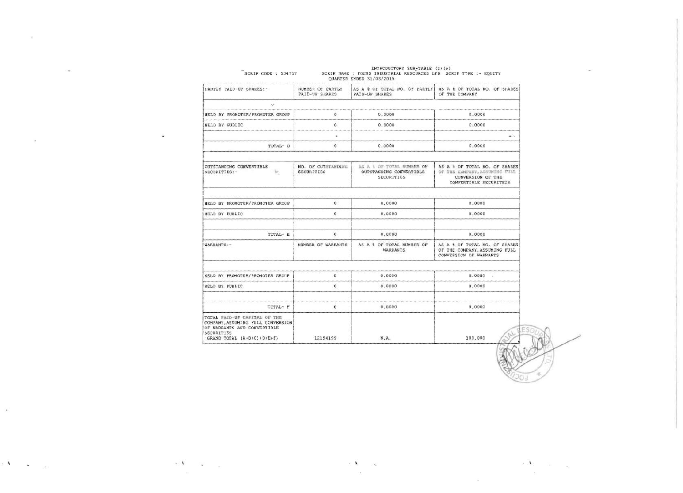|                                                                                                                                               |                                    | <b>QUARTER ENDED 31/03/2015</b>                                    |                                                                                                               |
|-----------------------------------------------------------------------------------------------------------------------------------------------|------------------------------------|--------------------------------------------------------------------|---------------------------------------------------------------------------------------------------------------|
| PARTLY PAID-UP SHARES:-                                                                                                                       | NUMBER OF PARTLY<br>PAID-UP SHARES | AS A & OF TOTAL NO. OF PARTLY<br>PAID-UP SHARES                    | AS A & OF TOTAL NO. OF SHARES<br>OF THE COMPANY                                                               |
| v                                                                                                                                             |                                    |                                                                    |                                                                                                               |
| HELD BY PROMOTER/PROMOTER GROUP                                                                                                               | $\circ$                            | 0.0000                                                             | 0.0000                                                                                                        |
| HELD BY PUBLIC                                                                                                                                | $\circ$                            | 0.0000                                                             | 0.0000                                                                                                        |
| TOTAL- D                                                                                                                                      | ٠<br>0                             | 0.0000                                                             | $\sim$ $\sim$<br>0.0000                                                                                       |
| OUTSTANDING CONVERTIBLE<br>k.<br>SECURITIES:-                                                                                                 | NO. OF OUTSTANDING<br>SECURITIES   | AS A & OF TOTAL NUMBER OF<br>OUTSTANDING CONVERTIBLE<br>SECURITIES | AS A & OF TOTAL NO. OF SHARES<br>OF THE COMPANY, ASSUMING FULL<br>CONVERSION OF THE<br>CONVERTIBLE SECURITEIS |
| HELD BY PROMOTER/PROMOTER GROUP.                                                                                                              | 0                                  | 0.0000                                                             | 0.0000                                                                                                        |
| HELD BY PUBLIC                                                                                                                                | 0                                  | 0.0000                                                             | 0.0000                                                                                                        |
| TOTAL- E                                                                                                                                      | O.                                 | 0.0000                                                             | 0.0000                                                                                                        |
| WARRANTS:-                                                                                                                                    | NUMBER OF WARRANTS                 | AS A & OF TOTAL NUMBER OF<br><b>WARRANTS</b>                       | AS A & OF TOTAL NO. OF SHARES<br>OF THE COMPANY, ASSUMING FULL<br>CONVERSION OF WARRANTS                      |
| HELD BY PROMOTER/PROMOTER GROUP                                                                                                               | 0                                  | 0.0000                                                             | 0.0000<br>$\mathbf{r}$                                                                                        |
| HELD BY PUBLIC                                                                                                                                | 0                                  | 0.0000                                                             | 0.0000                                                                                                        |
| TOTAL- F                                                                                                                                      | 0                                  | 0.0000                                                             | 0.0000                                                                                                        |
| TOTAL PAID-UP CAPITAL OF THE<br>COMPANY, ASSUMING FULL CONVERSION<br>OF WARRANTS AND CONVERTIBLE<br>SECURITIES<br>(GRAND TOTAL (A+B+C)+D+E+F) | 12194199                           | N.A.                                                               | 100.000                                                                                                       |

## INTRODUCTORY SUB-TABLE (I)(A)<br>SCRIP NAME: FOCUS INDUSTRIAL RESOURCES LTD SCRIP TYPE:- EQUITY  $SCRTP$   $COMR = 534757$

 $\sim 100$  m  $^{-1}$ 

 $\bullet$ 

 $\mathbf{A} = \mathbf{A} \mathbf{A}$ 

 $\sim$ 

 $\mathcal{L}$ 

 $\sim$ 

 $\mathbb{R}^{|\mathcal{K}|}$  . In the  $\mathbb{R}^{|\mathcal{K}|}$  $\sim$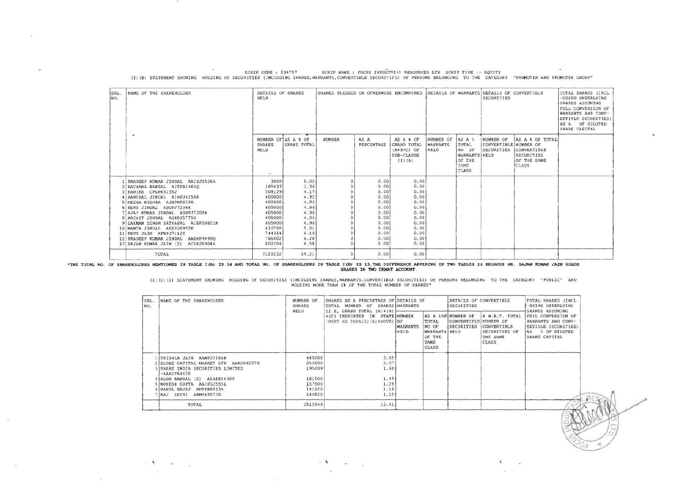| SRL.<br>NO. | NAME OF THE SHAREHOLDER                                                                                                                                                                                                                                                                                                                                                                                                   | DETAILS OF SHARES<br>HELD                                                                                                    |                                                                                                      | SHARES PLEDGED OR OTHERWISE ENCUMBERED |                                                                                                      |                                                                                                      |                                      |                                                                    | DETAILS OF WARRANTS DETAILS OF CONVERTIBLE<br>SECURITIES |                                                                             | TOTAL SHARES (INCL )<br>-UDING UNDERLYING<br>SHARES ASSUMING<br>FULL CONVERSION OF<br>WARRANTS AND CONV-<br>ERTIBLE SECURITIES)<br>AS A OF DILUTED<br>SHARE CAPITAL |
|-------------|---------------------------------------------------------------------------------------------------------------------------------------------------------------------------------------------------------------------------------------------------------------------------------------------------------------------------------------------------------------------------------------------------------------------------|------------------------------------------------------------------------------------------------------------------------------|------------------------------------------------------------------------------------------------------|----------------------------------------|------------------------------------------------------------------------------------------------------|------------------------------------------------------------------------------------------------------|--------------------------------------|--------------------------------------------------------------------|----------------------------------------------------------|-----------------------------------------------------------------------------|---------------------------------------------------------------------------------------------------------------------------------------------------------------------|
|             | $\ddot{}$                                                                                                                                                                                                                                                                                                                                                                                                                 | <b>SHARES</b><br><b>HELD</b><br>DATE:                                                                                        | NUMBER OF AS A & OF<br><b>GRAND TOTAL</b>                                                            | NUMBER                                 | AS A<br>PERCENTAGE                                                                                   | AS A & OF<br><b>GRAND TOTAL</b><br>$(A+B+C)$ OF<br>SUB-CLAUSE<br>$(I)$ $(A)$                         | NUMBER OF<br><b>WARRANTS</b><br>HELD | AS A<br>TOTAL<br>NO OF<br>WARRANTS HELD<br>OF THE<br>SAME<br>CLASS | NUMBER OF<br>CONVERTIBLE NUMBER OF<br>SECURITIES         | AS A & OF TOTAL<br>CONVERTIBLE<br>SECURITIES<br>OF THE SAME<br><b>CLASS</b> |                                                                                                                                                                     |
|             | I PRADEEP KUMAR JINDAL AAIPJ8526A<br>2 RACHANA BANSAL AITPB24640<br>KANIKA CPGPK3235J<br>A AANCHAL JINDAL AIHPJ4158R<br>5 MEERA MISHRA AJBPM5839R<br>6 RENU JINDAL ADDPJ7206K<br>AJAY KUMAR JINDAL ADDPJ7208H<br>8 ARCHIT JINDAL AGNPJ5775G<br>9 LAXMAN SINGH SATYAPAL AIDPS0821N<br>10 MAMTA JINDAL AEEPJ6955K<br>11 RENU JAIN AFNPJ7112E<br>12 PRADEEP KUMAR JINDAL AAEHP94990<br>13 SAJAN KUMAR JAIN (2)<br>ACSPJ6904A | 3000<br>165433<br>508129<br>600000<br>600000<br>605000<br>605000<br>605000<br>605000<br>610700<br>744364<br>766402<br>802204 | 0.02<br>1.36<br>4.17<br>4.92<br>4.92<br>4.96<br>4.96<br>4.96<br>4.96<br>5.01<br>6.10<br>6.28<br>6.58 |                                        | 0.00<br>0.00<br>0.00<br>0.00<br>0.00<br>0.00<br>0.00<br>0.00<br>0.00<br>0.00<br>0.00<br>0.00<br>0.00 | 0,00<br>0.00<br>0.00<br>0.00<br>0.00<br>0.00<br>0.00<br>0.00<br>0.00<br>0.00<br>0.00<br>0.00<br>0.00 |                                      |                                                                    |                                                          |                                                                             |                                                                                                                                                                     |
|             | TOTAL                                                                                                                                                                                                                                                                                                                                                                                                                     | 7220232                                                                                                                      | 59.21                                                                                                |                                        | 0.00                                                                                                 | 0.00                                                                                                 |                                      |                                                                    |                                                          |                                                                             |                                                                                                                                                                     |

SCRIP CODE : 534757 SCRIP NAME : FOCUS INDUSTRIAN RESOURCES LTD SCRIP TYPE :- EQUITY<br>(I)(B) STATEMENT SHOWING HOLDING OF SECURITIES (INCLUDING SHARES, WARRANTS, CONVERTIBLE SECURITIES) OF PERSONS BELONGING TO THE CATEGORY

\*THE TOTAL NO. OF SHAREHOLDRES MENTIONED IN TABLE I(A) IS 14 AND TOTAL NO. OF SHAREHOLDERS IN TABLE I(B) IS 13. THE DIFFERENCE APPERING IN TWO TABLES IS BECAUSE MR. SAJAN KUMAR JAIN HOLDS

 $\sim$ 

(I)(C)(I) STATEMENT SHOWING HOLDING OF SECURITIES (INCULDING SHARES, WARRANTS, CONVERTIBLE SECURITIES) OF PERSONS BELONGING TO THE CATEGORY "PUBLIC" AND<br>HOLDING MORE THAN 1% OF THE TOTAL NUMBER OF SHARES"

| NO. | NUMBER OF<br>SRL. NAME OF THE SHAREHOLDER<br>SHARES |         | SHARES AS A PERCENTAGE OF DETAILS OF<br>TOTAL NUMBER OF SHARES WARRANTS                         |                                |                                                            | DETAILS OF CONVERTIBLE<br>SECURITIES                             |                                                                     | TOTAL SHARES (INCL<br>-UDING UNDERLYING<br>SHARES ASSUMING                                             |  |
|-----|-----------------------------------------------------|---------|-------------------------------------------------------------------------------------------------|--------------------------------|------------------------------------------------------------|------------------------------------------------------------------|---------------------------------------------------------------------|--------------------------------------------------------------------------------------------------------|--|
|     |                                                     | HELD    | $(I.E, GRAND TOTAL (A)+(B)$<br>+(C) INDICATED IN STATE NUMBER<br>-MENT AT PARA(I) (A) ABOVE) OF | <b>WARRANTS</b><br><b>HELD</b> | TOTAL<br>NO OF<br>WARRANTS HELD<br>OF THE<br>SAME<br>CLASS | AS A &OFINUMBER OF<br>CONVERTIBLE NUMBER OF<br><b>SECURITIES</b> | 8 W.R.T. TOTAL<br>CONVERTIBLE<br>SECURITIES OF<br>THE SAME<br>CLASS | FULL CONVERSION OF<br>WARRANTS AND CONV-<br>ERTIBLE SECURITIES)<br># OF DILUTED<br>AS<br>SHARE CAPITAL |  |
|     | TRISHLA JAIN AAMPJ2164N                             | 445000  | 3.65                                                                                            |                                |                                                            |                                                                  |                                                                     |                                                                                                        |  |
|     | GLOBE CAPITAL MARKET LTD AAACG4267G                 | 252000  | 2.07                                                                                            |                                |                                                            |                                                                  |                                                                     |                                                                                                        |  |
|     | SHARE INDIA SECURITIES LIMITED<br>$-AAACFG462E$     | 195009  | 1.60                                                                                            |                                |                                                            |                                                                  |                                                                     |                                                                                                        |  |
|     | ALOK BANSAL (2) ATAPB2430R                          | 181500  | 1.49                                                                                            |                                |                                                            |                                                                  |                                                                     |                                                                                                        |  |
|     | NUKESH GUPTA AAIPG2555L                             | 157500  | 1.29                                                                                            |                                |                                                            |                                                                  |                                                                     |                                                                                                        |  |
|     | 6 NAKOL BAJAJ ANTPBS813A                            | 141120  | 1.16                                                                                            |                                |                                                            |                                                                  |                                                                     |                                                                                                        |  |
|     | 7 RAJ SETHI AAMHR9573D                              | 140820  | 1.15                                                                                            |                                |                                                            |                                                                  |                                                                     |                                                                                                        |  |
|     | TOTAL                                               | 1512949 | 12.41                                                                                           |                                |                                                            |                                                                  |                                                                     |                                                                                                        |  |